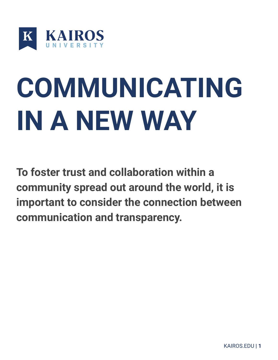

# **COMMUNICATING IN A NEW WAY**

**To foster trust and collaboration within a community spread out around the world, it is important to consider the connection between communication and transparency.**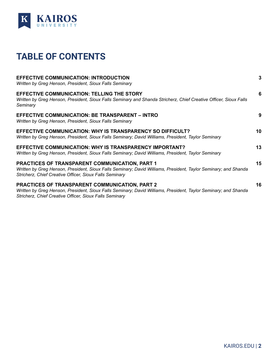

### <span id="page-1-0"></span>**TABLE OF CONTENTS**

| <b>EFFECTIVE COMMUNICATION: INTRODUCTION</b><br>Written by Greg Henson, President, Sioux Falls Seminary                                                                                                                      | 3  |
|------------------------------------------------------------------------------------------------------------------------------------------------------------------------------------------------------------------------------|----|
| EFFECTIVE COMMUNICATION: TELLING THE STORY<br>Written by Greg Henson, President, Sioux Falls Seminary and Shanda Stricherz, Chief Creative Officer, Sioux Falls<br>Seminary                                                  | 6  |
| EFFECTIVE COMMUNICATION: BE TRANSPARENT – INTRO<br>Written by Greg Henson, President, Sioux Falls Seminary                                                                                                                   | 9  |
| EFFECTIVE COMMUNICATION: WHY IS TRANSPARENCY SO DIFFICULT?<br>Written by Greg Henson, President, Sioux Falls Seminary; David Williams, President, Taylor Seminary                                                            | 10 |
| EFFECTIVE COMMUNICATION: WHY IS TRANSPARENCY IMPORTANT?<br>Written by Greg Henson, President, Sioux Falls Seminary; David Williams, President, Taylor Seminary                                                               | 13 |
| PRACTICES OF TRANSPARENT COMMUNICATION, PART 1<br>Written by Greg Henson, President, Sioux Falls Seminary; David Williams, President, Taylor Seminary; and Shanda<br>Stricherz, Chief Creative Officer, Sioux Falls Seminary | 15 |
| PRACTICES OF TRANSPARENT COMMUNICATION, PART 2<br>Written by Greg Henson, President, Sioux Falls Seminary; David Williams, President, Taylor Seminary; and Shanda<br>Stricherz, Chief Creative Officer, Sioux Falls Seminary | 16 |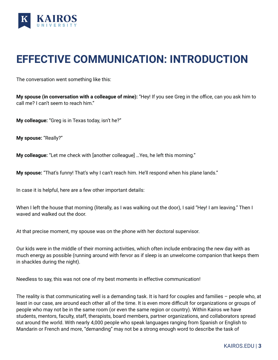

### <span id="page-2-0"></span>**EFFECTIVE COMMUNICATION: INTRODUCTION**

The conversation went something like this:

**My spouse (in conversation with a colleague of mine):** "Hey! If you see Greg in the office, can you ask him to call me? I can't seem to reach him."

**My colleague:** "Greg is in Texas today, isn't he?"

**My spouse:** "Really?"

**My colleague:** "Let me check with [another colleague] …Yes, he left this morning."

**My spouse:** "That's funny! That's why I can't reach him. He'll respond when his plane lands."

In case it is helpful, here are a few other important details:

When I left the house that morning (literally, as I was walking out the door), I said "Hey! I am leaving." Then I waved and walked out the door.

At that precise moment, my spouse was on the phone with her doctoral supervisor.

Our kids were in the middle of their morning activities, which often include embracing the new day with as much energy as possible (running around with fervor as if sleep is an unwelcome companion that keeps them in shackles during the night).

Needless to say, this was not one of my best moments in effective communication!

The reality is that communicating well is a demanding task. It is hard for couples and families – people who, at least in our case, are around each other all of the time. It is even more difficult for organizations or groups of people who may not be in the same room (or even the same region or country). Within Kairos we have students, mentors, faculty, staff, therapists, board members, partner organizations, and collaborators spread out around the world. With nearly 4,000 people who speak languages ranging from Spanish or English to Mandarin or French and more, "demanding" may not be a strong enough word to describe the task of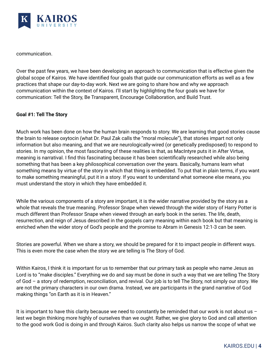

communication.

Over the past few years, we have been developing an approach to communication that is effective given the global scope of Kairos. We have identified four goals that guide our communication efforts as well as a few practices that shape our day-to-day work. Next we are going to share how and why we approach communication within the context of Kairos. I'll start by highlighting the four goals we have for communication: Tell the Story, Be Transparent, Encourage Collaboration, and Build Trust.

#### **Goal #1: Tell The Story**

Much work has been done on how the human brain responds to story. We are learning that good stories cause the brain to release oxytocin (what Dr. Paul Zak calls the "moral molecule"), that stories impart not only information but also meaning, and that we are neurologically-wired (or genetically predisposed) to respond to stories. In my opinion, the most fascinating of these realities is that, as MacIntyre puts it in After Virtue, meaning is narratival. I find this fascinating because it has been scientifically researched while also being something that has been a key philosophical conversation over the years. Basically, humans learn what something means by virtue of the story in which that thing is embedded. To put that in plain terms, if you want to make something meaningful, put it in a story. If you want to understand what someone else means, you must understand the story in which they have embedded it.

While the various components of a story are important, it is the wider narrative provided by the story as a whole that reveals the true meaning. Professor Snape when viewed through the wider story of Harry Potter is much different than Professor Snape when viewed through an early book in the series. The life, death, resurrection, and reign of Jesus described in the gospels carry meaning within each book but that meaning is enriched when the wider story of God's people and the promise to Abram in Genesis 12:1-3 can be seen.

Stories are powerful. When we share a story, we should be prepared for it to impact people in different ways. This is even more the case when the story we are telling is The Story of God.

Within Kairos, I think it is important for us to remember that our primary task as people who name Jesus as Lord is to "make disciples." Everything we do and say must be done in such a way that we are telling The Story of God – a story of redemption, reconciliation, and revival. Our job is to tell The Story, not simply our story. We are not the primary characters in our own drama. Instead, we are participants in the grand narrative of God making things "on Earth as it is in Heaven."

It is important to have this clarity because we need to constantly be reminded that our work is not about us – lest we begin thinking more highly of ourselves than we ought. Rather, we give glory to God and call attention to the good work God is doing in and through Kairos. Such clarity also helps us narrow the scope of what we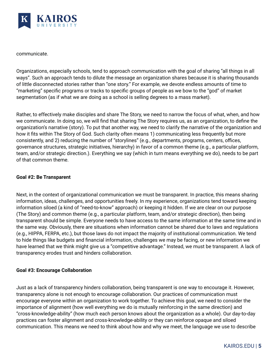

communicate.

Organizations, especially schools, tend to approach communication with the goal of sharing "all things in all ways". Such an approach tends to dilute the message an organization shares because it is sharing thousands of little disconnected stories rather than "one story." For example, we devote endless amounts of time to "marketing" specific programs or tracks to specific groups of people as we bow to the "god" of market segmentation (as if what we are doing as a school is selling degrees to a mass market).

Rather, to effectively make disciples and share The Story, we need to narrow the focus of what, when, and how we communicate. In doing so, we will find that sharing The Story requires us, as an organization, to define the organization's narrative (story). To put that another way, we need to clarify the narrative of the organization and how it fits within The Story of God. Such clarity often means 1) communicating less frequently but more consistently, and 2) reducing the number of "storylines" (e.g., departments, programs, centers, offices, governance structures, strategic initiatives, hierarchy) in favor of a common theme (e.g., a particular platform, team, and/or strategic direction.). Everything we say (which in turn means everything we do), needs to be part of that common theme.

#### **Goal #2: Be Transparent**

Next, in the context of organizational communication we must be transparent. In practice, this means sharing information, ideas, challenges, and opportunities freely. In my experience, organizations tend toward keeping information siloed (a kind of "need-to-know" approach) or keeping it hidden. If we are clear on our purpose (The Story) and common theme (e.g., a particular platform, team, and/or strategic direction), then being transparent should be simple. Everyone needs to have access to the same information at the same time and in the same way. Obviously, there are situations when information cannot be shared due to laws and regulations (e.g., HIPPA, FERPA, etc.), but those laws do not impact the majority of institutional communication. We tend to hide things like budgets and financial information, challenges we may be facing, or new information we have learned that we think might give us a "competitive advantage." Instead, we must be transparent. A lack of transparency erodes trust and hinders collaboration.

#### **Goal #3: Encourage Collaboration**

Just as a lack of transparency hinders collaboration, being transparent is one way to encourage it. However, transparency alone is not enough to encourage collaboration. Our practices of communication must encourage everyone within an organization to work together. To achieve this goal, we need to consider the importance of alignment (how well everything we do is mutually reinforcing in the same direction) and "cross-knowledge-ability" (how much each person knows about the organization as a whole). Our day-to-day practices can foster alignment and cross-knowledge-ability or they can reinforce opaque and siloed communication. This means we need to think about how and why we meet, the language we use to describe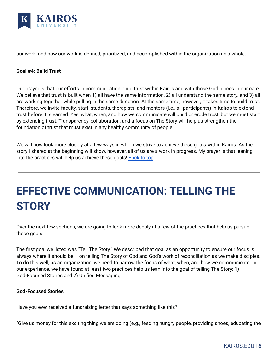

our work, and how our work is defined, prioritized, and accomplished within the organization as a whole.

#### **Goal #4: Build Trust**

Our prayer is that our efforts in communication build trust within Kairos and with those God places in our care. We believe that trust is built when 1) all have the same information, 2) all understand the same story, and 3) all are working together while pulling in the same direction. At the same time, however, it takes time to build trust. Therefore, we invite faculty, staff, students, therapists, and mentors (i.e., all participants) in Kairos to extend trust before it is earned. Yes, what, when, and how we communicate will build or erode trust, but we must start by extending trust. Transparency, collaboration, and a focus on The Story will help us strengthen the foundation of trust that must exist in any healthy community of people.

We will now look more closely at a few ways in which we strive to achieve these goals within Kairos. As the story I shared at the beginning will show, however, all of us are a work in progress. My prayer is that leaning into the practices will help us achieve these goals! [Back](#page-1-0) to top.

# <span id="page-5-0"></span>**EFFECTIVE COMMUNICATION: TELLING THE STORY**

Over the next few sections, we are going to look more deeply at a few of the practices that help us pursue those goals.

The first goal we listed was "Tell The Story." We described that goal as an opportunity to ensure our focus is always where it should be – on telling The Story of God and God's work of reconciliation as we make disciples. To do this well, as an organization, we need to narrow the focus of what, when, and how we communicate. In our experience, we have found at least two practices help us lean into the goal of telling The Story: 1) God-Focused Stories and 2) Unified Messaging.

#### **God-Focused Stories**

Have you ever received a fundraising letter that says something like this?

"Give us money for this exciting thing we are doing (e.g., feeding hungry people, providing shoes, educating the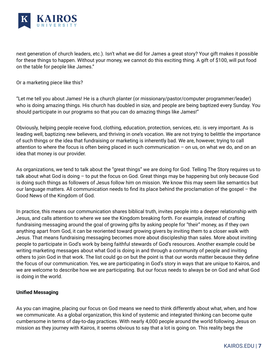

next generation of church leaders, etc.). Isn't what we did for James a great story? Your gift makes it possible for these things to happen. Without your money, we cannot do this exciting thing. A gift of \$100, will put food on the table for people like James."

Or a marketing piece like this?

"Let me tell you about James! He is a church planter (or missionary/pastor/computer programmer/leader) who is doing amazing things. His church has doubled in size, and people are being baptized every Sunday. You should participate in our programs so that you can do amazing things like James!"

Obviously, helping people receive food, clothing, education, protection, services, etc. is very important. As is leading well, baptizing new believers, and thriving in one's vocation. We are not trying to belittle the importance of such things or the idea that fundraising or marketing is inherently bad. We are, however, trying to call attention to where the focus is often being placed in such communication – on us, on what we do, and on an idea that money is our provider.

As organizations, we tend to talk about the "great things" we are doing for God. Telling The Story requires us to talk about what God is doing – to put the focus on God. Great things may be happening but only because God is doing such things as followers of Jesus follow him on mission. We know this may seem like semantics but our language matters. All communication needs to find its place behind the proclamation of the gospel – the Good News of the Kingdom of God.

In practice, this means our communication shares biblical truth, invites people into a deeper relationship with Jesus, and calls attention to where we see the Kingdom breaking forth. For example, instead of crafting fundraising messaging around the goal of growing gifts by asking people for "their" money, as if they own anything apart from God, it can be reoriented toward growing givers by inviting them to a closer walk with Jesus. That means fundraising messaging becomes more about discipleship than sales. More about inviting people to participate in God's work by being faithful stewards of God's resources. Another example could be writing marketing messages about what God is doing in and through a community of people and inviting others to join God in that work. The list could go on but the point is that our words matter because they define the focus of our communication. Yes, we are participating in God's story in ways that are unique to Kairos, and we are welcome to describe how we are participating. But our focus needs to always be on God and what God is doing in the world.

#### **Unified Messaging**

As you can imagine, placing our focus on God means we need to think differently about what, when, and how we communicate. As a global organization, this kind of systemic and integrated thinking can become quite cumbersome in terms of day-to-day practices. With nearly 4,000 people around the world following Jesus on mission as they journey with Kairos, it seems obvious to say that a lot is going on. This reality begs the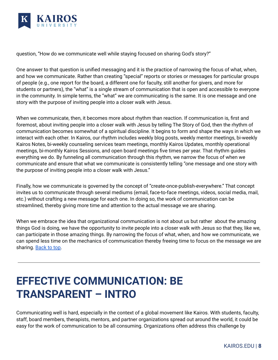

question, "How do we communicate well while staying focused on sharing God's story?"

One answer to that question is unified messaging and it is the practice of narrowing the focus of what, when, and how we communicate. Rather than creating "special" reports or stories or messages for particular groups of people (e.g., one report for the board, a different one for faculty, still another for givers, and more for students or partners), the "what" is a single stream of communication that is open and accessible to everyone in the community. In simple terms, the "what" we are communicating is the same. It is one message and one story with the purpose of inviting people into a closer walk with Jesus.

When we communicate, then, it becomes more about rhythm than reaction. If communication is, first and foremost, about inviting people into a closer walk with Jesus by telling The Story of God, then the rhythm of communication becomes somewhat of a spiritual discipline. It begins to form and shape the ways in which we interact with each other. In Kairos, our rhythm includes weekly blog posts, weekly mentor meetings, bi-weekly Kairos Notes, bi-weekly counseling services team meetings, monthly Kairos Updates, monthly operational meetings, bi-monthly Kairos Sessions, and open board meetings five times per year. That rhythm guides everything we do. By funneling all communication through this rhythm, we narrow the focus of when we communicate and ensure that what we communicate is consistently telling "one message and one story with the purpose of inviting people into a closer walk with Jesus."

Finally, how we communicate is governed by the concept of "create-once-publish-everywhere." That concept invites us to communicate through several mediums (email, face-to-face meetings, videos, social media, mail, etc.) without crafting a new message for each one. In doing so, the work of communication can be streamlined, thereby giving more time and attention to the actual message we are sharing.

When we embrace the idea that organizational communication is not about us but rather about the amazing things God is doing, we have the opportunity to invite people into a closer walk with Jesus so that they, like we, can participate in those amazing things. By narrowing the focus of what, when, and how we communicate, we can spend less time on the mechanics of communication thereby freeing time to focus on the message we are sharing. **[Back](#page-1-0) to top**.

### <span id="page-7-0"></span>**EFFECTIVE COMMUNICATION: BE TRANSPARENT – INTRO**

Communicating well is hard, especially in the context of a global movement like Kairos. With students, faculty, staff, board members, therapists, mentors, and partner organizations spread out around the world, it could be easy for the work of communication to be all consuming. Organizations often address this challenge by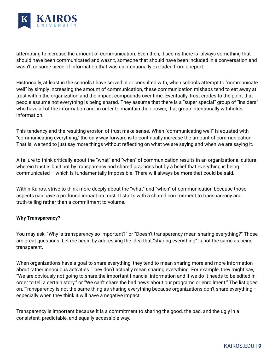

attempting to increase the amount of communication. Even then, it seems there is always something that should have been communicated and wasn't, someone that should have been included in a conversation and wasn't, or some piece of information that was unintentionally excluded from a report.

Historically, at least in the schools I have served in or consulted with, when schools attempt to "communicate well" by simply increasing the amount of communication, these communication mishaps tend to eat away at trust within the organization and the impact compounds over time. Eventually, trust erodes to the point that people assume not everything is being shared. They assume that there is a "super special" group of "insiders" who have all of the information and, in order to maintain their power, that group intentionally withholds information.

This tendency and the resulting erosion of trust make sense. When "communicating well" is equated with "communicating everything," the only way forward is to continually increase the amount of communication. That is, we tend to just say more things without reflecting on what we are saying and when we are saying it.

A failure to think critically about the "what" and "when" of communication results in an organizational culture wherein trust is built not by transparency and shared practices but by a belief that everything is being communicated – which is fundamentally impossible. There will always be more that could be said.

Within Kairos, strive to think more deeply about the "what" and "when" of communication because those aspects can have a profound impact on trust. It starts with a shared commitment to transparency and truth-telling rather than a commitment to volume.

#### **Why Transparency?**

You may ask, "Why is transparency so important?" or "Doesn't transparency mean sharing everything?" Those are great questions. Let me begin by addressing the idea that "sharing everything" is not the same as being transparent.

When organizations have a goal to share everything, they tend to mean sharing more and more information about rather innocuous activities. They don't actually mean sharing everything. For example, they might say, "We are obviously not going to share the important financial information and if we do it needs to be edited in order to tell a certain story." or "We can't share the bad news about our programs or enrollment." The list goes on. Transparency is not the same thing as sharing everything because organizations don't share everything – especially when they think it will have a negative impact.

Transparency is important because it is a commitment to sharing the good, the bad, and the ugly in a consistent, predictable, and equally accessible way.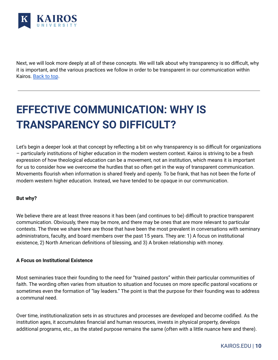

Next, we will look more deeply at all of these concepts. We will talk about why transparency is so difficult, why it is important, and the various practices we follow in order to be transparent in our communication within Kairos. [Back](#page-1-0) to top.

## <span id="page-9-0"></span>**EFFECTIVE COMMUNICATION: WHY IS TRANSPARENCY SO DIFFICULT?**

Let's begin a deeper look at that concept by reflecting a bit on why transparency is so difficult for organizations – particularly institutions of higher education in the modern western context. Kairos is striving to be a fresh expression of how theological education can be a movement, not an institution, which means it is important for us to consider how we overcome the hurdles that so often get in the way of transparent communication. Movements flourish when information is shared freely and openly. To be frank, that has not been the forte of modern western higher education. Instead, we have tended to be opaque in our communication.

#### **But why?**

We believe there are at least three reasons it has been (and continues to be) difficult to practice transparent communication. Obviously, there may be more, and there may be ones that are more relevant to particular contexts. The three we share here are those that have been the most prevalent in conversations with seminary administrators, faculty, and board members over the past 15 years. They are: 1) A focus on institutional existence, 2) North American definitions of blessing, and 3) A broken relationship with money.

#### **A Focus on Institutional Existence**

Most seminaries trace their founding to the need for "trained pastors" within their particular communities of faith. The wording often varies from situation to situation and focuses on more specific pastoral vocations or sometimes even the formation of "lay leaders." The point is that the purpose for their founding was to address a communal need.

Over time, institutionalization sets in as structures and processes are developed and become codified. As the institution ages, it accumulates financial and human resources, invests in physical property, develops additional programs, etc., as the stated purpose remains the same (often with a little nuance here and there).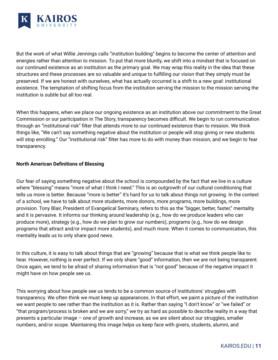

But the work of what Willie Jennings calls "institution building" begins to become the center of attention and energies rather than attention to mission. To put that more bluntly, we shift into a mindset that is focused on our continued existence as an institution as the primary goal. We may wrap this reality in the idea that these structures and these processes are so valuable and unique to fulfilling our vision that they simply must be preserved. If we are honest with ourselves, what has actually occurred is a shift to a new goal: institutional existence. The temptation of shifting focus from the institution serving the mission to the mission serving the institution is subtle but all too real.

When this happens, when we place our ongoing existence as an institution above our commitment to the Great Commission or our participation in The Story, transparency becomes difficult. We begin to run communication through an "institutional risk" filter that attends more to our continued existence than to mission. We think things like, "We can't say something negative about the institution or people will stop giving or new students will stop enrolling." Our "institutional risk" filter has more to do with money than mission, and we begin to fear transparency.

#### **North American Definitions of Blessing**

Our fear of saying something negative about the school is compounded by the fact that we live in a culture where "blessing" means "more of what I think I need." This is an outgrowth of our cultural conditioning that tells us more is better. Because "more is better" it's hard for us to talk about things not growing. In the context of a school, we have to talk about more students, more donors, more programs, more buildings, more provision. Tony Blair, President of Evangelical Seminary, refers to this as the "bigger, better, faster," mentality and it is pervasive. It informs our thinking around leadership (e.g., how do we produce leaders who can produce more), strategy (e.g., how do we plan to grow our numbers), programs (e.g., how do we design programs that attract and/or impact more students), and much more. When it comes to communication, this mentality leads us to only share good news.

In this culture, it is easy to talk about things that are "growing" because that is what we think people like to hear. However, nothing is ever perfect. If we only share "good" information, then we are not being transparent. Once again, we tend to be afraid of sharing information that is "not good" because of the negative impact it might have on how people see us.

This worrying about how people see us tends to be a common source of institutions' struggles with transparency. We often think we must keep up appearances. In that effort, we paint a picture of the institution we want people to see rather than the institution as it is. Rather than saying "I don't know" or "we failed" or "that program/process is broken and we are sorry," we try as hard as possible to describe reality in a way that presents a particular image – one of growth and increase, as we are silent about our struggles, smaller numbers, and/or scope. Maintaining this image helps us keep face with givers, students, alumni, and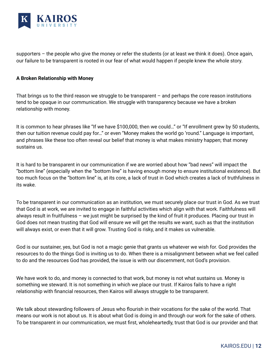

supporters – the people who give the money or refer the students (or at least we think it does). Once again, our failure to be transparent is rooted in our fear of what would happen if people knew the whole story.

#### **A Broken Relationship with Money**

That brings us to the third reason we struggle to be transparent  $-$  and perhaps the core reason institutions tend to be opaque in our communication. We struggle with transparency because we have a broken relationship with money.

It is common to hear phrases like "If we have \$100,000, then we could…" or "If enrollment grew by 50 students, then our tuition revenue could pay for…" or even "Money makes the world go 'round." Language is important, and phrases like these too often reveal our belief that money is what makes ministry happen; that money sustains us.

It is hard to be transparent in our communication if we are worried about how "bad news" will impact the "bottom line" (especially when the "bottom line" is having enough money to ensure institutional existence). But too much focus on the "bottom line" is, at its core, a lack of trust in God which creates a lack of truthfulness in its wake.

To be transparent in our communication as an institution, we must securely place our trust in God. As we trust that God is at work, we are invited to engage in faithful activities which align with that work. Faithfulness will always result in fruitfulness – we just might be surprised by the kind of fruit it produces. Placing our trust in God does not mean trusting that God will ensure we will get the results we want, such as that the institution will always exist, or even that it will grow. Trusting God is risky, and it makes us vulnerable.

God is our sustainer, yes, but God is not a magic genie that grants us whatever we wish for. God provides the resources to do the things God is inviting us to do. When there is a misalignment between what we feel called to do and the resources God has provided, the issue is with our discernment, not God's provision.

We have work to do, and money is connected to that work, but money is not what sustains us. Money is something we steward. It is not something in which we place our trust. If Kairos fails to have a right relationship with financial resources, then Kairos will always struggle to be transparent.

We talk about stewarding followers of Jesus who flourish in their vocations for the sake of the world. That means our work is not about us. It is about what God is doing in and through our work for the sake of others. To be transparent in our communication, we must first, wholeheartedly, trust that God is our provider and that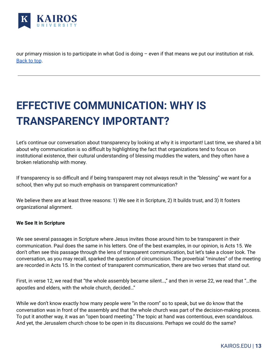

our primary mission is to participate in what God is doing – even if that means we put our institution at risk. [Back](#page-1-0) to top.

# <span id="page-12-0"></span>**EFFECTIVE COMMUNICATION: WHY IS TRANSPARENCY IMPORTANT?**

Let's continue our conversation about transparency by looking at why it is important! Last time, we shared a bit about why communication is so difficult by highlighting the fact that organizations tend to focus on institutional existence, their cultural understanding of blessing muddies the waters, and they often have a broken relationship with money.

If transparency is so difficult and if being transparent may not always result in the "blessing" we want for a school, then why put so much emphasis on transparent communication?

We believe there are at least three reasons: 1) We see it in Scripture, 2) It builds trust, and 3) It fosters organizational alignment.

#### **We See It in Scripture**

We see several passages in Scripture where Jesus invites those around him to be transparent in their communication. Paul does the same in his letters. One of the best examples, in our opinion, is Acts 15. We don't often see this passage through the lens of transparent communication, but let's take a closer look. The conversation, as you may recall, sparked the question of circumcision. The proverbial "minutes" of the meeting are recorded in Acts 15. In the context of transparent communication, there are two verses that stand out.

First, in verse 12, we read that "the whole assembly became silent…," and then in verse 22, we read that "…the apostles and elders, with the whole church, decided…"

While we don't know exactly how many people were "in the room" so to speak, but we do know that the conversation was in front of the assembly and that the whole church was part of the decision-making process. To put it another way, it was an "open board meeting." The topic at hand was contentious, even scandalous. And yet, the Jerusalem church chose to be open in its discussions. Perhaps we could do the same?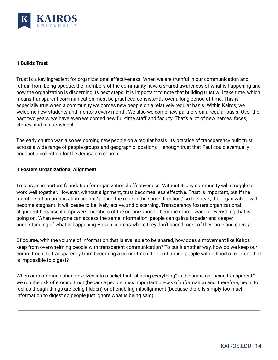

#### **It Builds Trust**

Trust is a key ingredient for organizational effectiveness. When we are truthful in our communication and refrain from being opaque, the members of the community have a shared awareness of what is happening and how the organization is discerning its next steps. It is important to note that building trust will take time, which means transparent communication must be practiced consistently over a long period of time. This is especially true when a community welcomes new people on a relatively regular basis. Within Kairos, we welcome new students and mentors every month. We also welcome new partners on a regular basis. Over the past two years, we have even welcomed new full-time staff and faculty. That's a lot of new names, faces, stories, and relationships!

The early church was also welcoming new people on a regular basis. Its practice of transparency built trust across a wide range of people groups and geographic locations – enough trust that Paul could eventually conduct a collection for the Jerusalem church.

#### **It Fosters Organizational Alignment**

Trust is an important foundation for organizational effectiveness. Without it, any community will struggle to work well together. However, without alignment, trust becomes less effective. Trust is important, but if the members of an organization are not "pulling the rope in the same direction," so to speak, the organization will become stagnant. It will cease to be lively, active, and discerning. Transparency fosters organizational alignment because it empowers members of the organization to become more aware of everything that is going on. When everyone can access the same information, people can gain a broader and deeper understanding of what is happening – even in areas where they don't spend most of their time and energy.

Of course, with the volume of information that is available to be shared, how does a movement like Kairos keep from overwhelming people with transparent communication? To put it another way, how do we keep our commitment to transparency from becoming a commitment to bombarding people with a flood of content that is impossible to digest?

When our communication devolves into a belief that "sharing everything" is the same as "being transparent," we run the risk of eroding trust (because people miss important pieces of information and, therefore, begin to feel as though things are being hidden) or of enabling misalignment (because there is simply too much information to digest so people just ignore what is being said).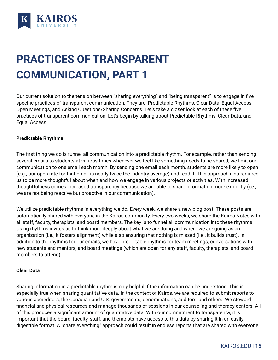

# <span id="page-14-0"></span>**PRACTICES OF TRANSPARENT COMMUNICATION, PART 1**

Our current solution to the tension between "sharing everything" and "being transparent" is to engage in five specific practices of transparent communication. They are: Predictable Rhythms, Clear Data, Equal Access, Open Meetings, and Asking Questions/Sharing Concerns. Let's take a closer look at each of these five practices of transparent communication. Let's begin by talking about Predictable Rhythms, Clear Data, and Equal Access.

#### **Predictable Rhythms**

The first thing we do is funnel all communication into a predictable rhythm. For example, rather than sending several emails to students at various times whenever we feel like something needs to be shared, we limit our communication to one email each month. By sending one email each month, students are more likely to open (e.g., our open rate for that email is nearly twice the industry average) and read it. This approach also requires us to be more thoughtful about when and how we engage in various projects or activities. With increased thoughtfulness comes increased transparency because we are able to share information more explicitly (i.e., we are not being reactive but proactive in our communication).

We utilize predictable rhythms in everything we do. Every week, we share a new blog post. These posts are automatically shared with everyone in the Kairos community. Every two weeks, we share the Kairos Notes with all staff, faculty, therapists, and board members. The key is to funnel all communication into these rhythms. Using rhythms invites us to think more deeply about what we are doing and where we are going as an organization (i.e., it fosters alignment) while also ensuring that nothing is missed (i.e., it builds trust). In addition to the rhythms for our emails, we have predictable rhythms for team meetings, conversations with new students and mentors, and board meetings (which are open for any staff, faculty, therapists, and board members to attend).

#### **Clear Data**

Sharing information in a predictable rhythm is only helpful if the information can be understood. This is especially true when sharing quantitative data. In the context of Kairos, we are required to submit reports to various accreditors, the Canadian and U.S. governments, denominations, auditors, and others. We steward financial and physical resources and manage thousands of sessions in our counseling and therapy centers. All of this produces a significant amount of quantitative data. With our commitment to transparency, it is important that the board, faculty, staff, and therapists have access to this data by sharing it in an easily digestible format. A "share everything" approach could result in endless reports that are shared with everyone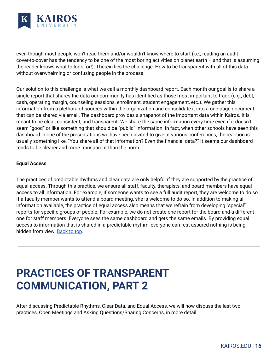

even though most people won't read them and/or wouldn't know where to start (i.e., reading an audit cover-to-cover has the tendency to be one of the most boring activities on planet earth – and that is assuming the reader knows what to look for!). Therein lies the challenge: How to be transparent with all of this data without overwhelming or confusing people in the process.

Our solution to this challenge is what we call a monthly dashboard report. Each month our goal is to share a single report that shares the data our community has identified as those most important to track (e.g., debt, cash, operating margin, counseling sessions, enrollment, student engagement, etc.). We gather this information from a plethora of sources within the organization and consolidate it into a one-page document that can be shared via email. The dashboard provides a snapshot of the important data within Kairos. It is meant to be clear, consistent, and transparent. We share the same information every time even if it doesn't seem "good" or like something that should be "public" information. In fact, when other schools have seen this dashboard in one of the presentations we have been invited to give at various conferences, the reaction is usually something like, "You share all of that information? Even the financial data?" It seems our dashboard tends to be clearer and more transparent than the norm.

#### **Equal Access**

The practices of predictable rhythms and clear data are only helpful if they are supported by the practice of equal access. Through this practice, we ensure all staff, faculty, therapists, and board members have equal access to all information. For example, if someone wants to see a full audit report, they are welcome to do so. If a faculty member wants to attend a board meeting, she is welcome to do so. In addition to making all information available, the practice of equal access also means that we refrain from developing "special" reports for specific groups of people. For example, we do not create one report for the board and a different one for staff members. Everyone sees the same dashboard and gets the same emails. By providing equal access to information that is shared in a predictable rhythm, everyone can rest assured nothing is being hidden from view. [Back](#page-1-0) to top.

### <span id="page-15-0"></span>**PRACTICES OF TRANSPARENT COMMUNICATION, PART 2**

After discussing Predictable Rhythms, Clear Data, and Equal Access, we will now discuss the last two practices, Open Meetings and Asking Questions/Sharing Concerns, in more detail.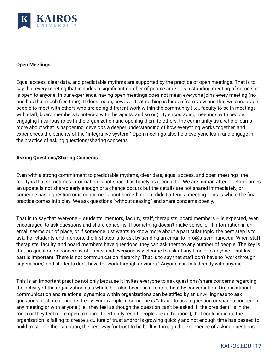

#### **Open Meetings**

Equal access, clear data, and predictable rhythms are supported by the practice of open meetings. That is to say that every meeting that includes a significant number of people and/or is a standing meeting of some sort is open to anyone. In our experience, having open meetings does not mean everyone joins every meeting (no one has that much free time). It does mean, however, that nothing is hidden from view and that we encourage people to meet with others who are doing different work within the community (i.e., faculty to be in meetings with staff, board members to interact with therapists, and so on). By encouraging meetings with people engaging in various roles in the organization and opening them to others, the community as a whole learns more about what is happening, develops a deeper understanding of how everything works together, and experiences the benefits of the "integrative system." Open meetings also help everyone learn and engage in the practice of asking questions/sharing concerns.

#### **Asking Questions/Sharing Concerns**

Even with a strong commitment to predictable rhythms, clear data, equal access, and open meetings, the reality is that sometimes information is not shared as timely as it could be. We are human after all. Sometimes an update is not shared early enough or a change occurs but the details are not shared immediately, or someone has a question or is concerned about something but didn't attend a meeting. This is where the final practice comes into play. We ask questions "without ceasing" and share concerns openly.

That is to say that everyone – students, mentors, faculty, staff, therapists, board members – is expected, even encouraged, to ask questions and share concerns. If something doesn't make sense, or if information in an email seems out of place, or if someone just wants to know more about a particular topic, the best step is to ask. For students and mentors, the first step is to ask by sending an email to info@sfseminary.edu. When staff, therapists, faculty, and board members have questions, they can ask them to any number of people. The key is that no question or concern is off limits, and everyone is welcome to ask at any time – to anyone. That last part is important. There is not communication hierarchy. That is to say that staff don't have to "work through supervisors," and students don't have to "work through advisors." Anyone can talk directly with anyone.

This is an important practice not only because it invites everyone to ask questions/share concerns regarding the activity of the organization as a whole but also because it fosters healthy conversation. Organizational communication and relational dynamics within organizations can be stifled by an unwillingness to ask questions or share concerns freely. For example, if someone is "afraid" to ask a question or share a concern in any meeting or with anyone (i.e., they feel as though the question can't be asked if "the president" is in the room or they feel more open to share if certain types of people are in the room), that could indicate the organization is failing to create a culture of trust and/or is growing quickly and not enough time has passed to build trust. In either situation, the best way for trust to be built is through the experience of asking questions